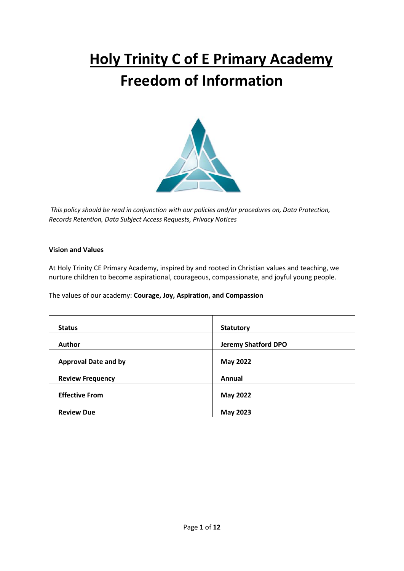# **Holy Trinity C of E Primary Academy Freedom of Information**



*This policy should be read in conjunction with our policies and/or procedures on, Data Protection, Records Retention, Data Subject Access Requests, Privacy Notices*

#### **Vision and Values**

At Holy Trinity CE Primary Academy, inspired by and rooted in Christian values and teaching, we nurture children to become aspirational, courageous, compassionate, and joyful young people.

The values of our academy: **Courage, Joy, Aspiration, and Compassion**

| <b>Status</b>               | <b>Statutory</b>           |
|-----------------------------|----------------------------|
| <b>Author</b>               | <b>Jeremy Shatford DPO</b> |
| <b>Approval Date and by</b> | <b>May 2022</b>            |
| <b>Review Frequency</b>     | Annual                     |
| <b>Effective From</b>       | <b>May 2022</b>            |
| <b>Review Due</b>           | <b>May 2023</b>            |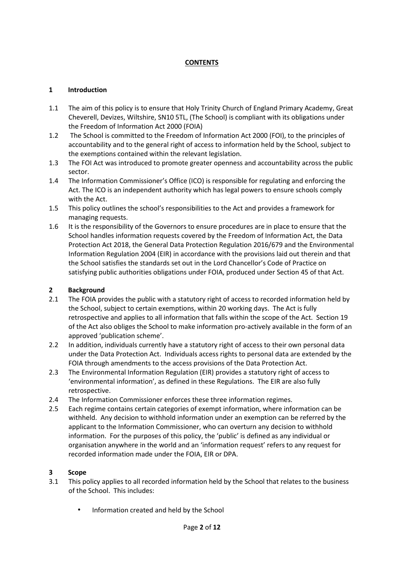# **CONTENTS**

#### **1 Introduction**

- 1.1 The aim of this policy is to ensure that Holy Trinity Church of England Primary Academy, Great Cheverell, Devizes, Wiltshire, SN10 5TL, (The School) is compliant with its obligations under the Freedom of Information Act 2000 (FOIA)
- 1.2 The School is committed to the Freedom of Information Act 2000 (FOI), to the principles of accountability and to the general right of access to information held by the School, subject to the exemptions contained within the relevant legislation.
- 1.3 The FOI Act was introduced to promote greater openness and accountability across the public sector.
- 1.4 The Information Commissioner's Office (ICO) is responsible for regulating and enforcing the Act. The ICO is an independent authority which has legal powers to ensure schools comply with the Act.
- 1.5 This policy outlines the school's responsibilities to the Act and provides a framework for managing requests.
- 1.6 It is the responsibility of the Governors to ensure procedures are in place to ensure that the School handles information requests covered by the Freedom of Information Act, the Data Protection Act 2018, the General Data Protection Regulation 2016/679 and the Environmental Information Regulation 2004 (EIR) in accordance with the provisions laid out therein and that the School satisfies the standards set out in the Lord Chancellor's Code of Practice on satisfying public authorities obligations under FOIA, produced under Section 45 of that Act.

## **2 Background**

- 2.1 The FOIA provides the public with a statutory right of access to recorded information held by the School, subject to certain exemptions, within 20 working days. The Act is fully retrospective and applies to all information that falls within the scope of the Act. Section 19 of the Act also obliges the School to make information pro-actively available in the form of an approved 'publication scheme'.
- 2.2 In addition, individuals currently have a statutory right of access to their own personal data under the Data Protection Act. Individuals access rights to personal data are extended by the FOIA through amendments to the access provisions of the Data Protection Act.
- 2.3 The Environmental Information Regulation (EIR) provides a statutory right of access to 'environmental information', as defined in these Regulations. The EIR are also fully retrospective.
- 2.4 The Information Commissioner enforces these three information regimes.
- 2.5 Each regime contains certain categories of exempt information, where information can be withheld. Any decision to withhold information under an exemption can be referred by the applicant to the Information Commissioner, who can overturn any decision to withhold information. For the purposes of this policy, the 'public' is defined as any individual or organisation anywhere in the world and an 'information request' refers to any request for recorded information made under the FOIA, EIR or DPA.

#### **3 Scope**

- 3.1 This policy applies to all recorded information held by the School that relates to the business of the School. This includes:
	- Information created and held by the School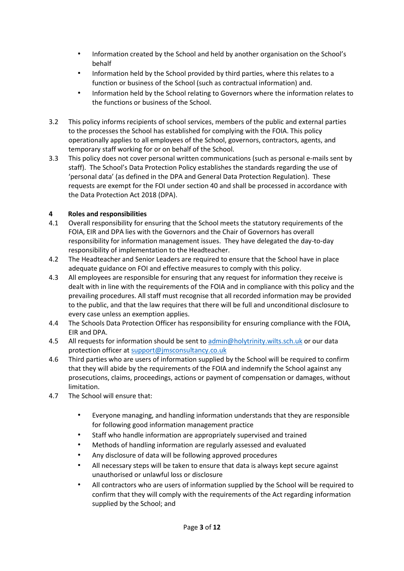- Information created by the School and held by another organisation on the School's behalf
- Information held by the School provided by third parties, where this relates to a function or business of the School (such as contractual information) and.
- Information held by the School relating to Governors where the information relates to the functions or business of the School.
- 3.2 This policy informs recipients of school services, members of the public and external parties to the processes the School has established for complying with the FOIA. This policy operationally applies to all employees of the School, governors, contractors, agents, and temporary staff working for or on behalf of the School.
- 3.3 This policy does not cover personal written communications (such as personal e-mails sent by staff). The School's Data Protection Policy establishes the standards regarding the use of 'personal data' (as defined in the DPA and General Data Protection Regulation). These requests are exempt for the FOI under section 40 and shall be processed in accordance with the Data Protection Act 2018 (DPA).

# **4 Roles and responsibilities**

- 4.1 Overall responsibility for ensuring that the School meets the statutory requirements of the FOIA, EIR and DPA lies with the Governors and the Chair of Governors has overall responsibility for information management issues. They have delegated the day-to-day responsibility of implementation to the Headteacher.
- 4.2 The Headteacher and Senior Leaders are required to ensure that the School have in place adequate guidance on FOI and effective measures to comply with this policy.
- 4.3 All employees are responsible for ensuring that any request for information they receive is dealt with in line with the requirements of the FOIA and in compliance with this policy and the prevailing procedures. All staff must recognise that all recorded information may be provided to the public, and that the law requires that there will be full and unconditional disclosure to every case unless an exemption applies.
- 4.4 The Schools Data Protection Officer has responsibility for ensuring compliance with the FOIA, EIR and DPA.
- 4.5 All requests for information should be sent to [admin@holytrinity.wilts.sch.uk](mailto:admin@holytrinity.wilts.sch.uk) or our data protection officer at [support@jmsconsultancy.co.uk](mailto:support@jmsconsultancy.co.uk)
- 4.6 Third parties who are users of information supplied by the School will be required to confirm that they will abide by the requirements of the FOIA and indemnify the School against any prosecutions, claims, proceedings, actions or payment of compensation or damages, without limitation.
- 4.7 The School will ensure that:
	- Everyone managing, and handling information understands that they are responsible for following good information management practice
	- Staff who handle information are appropriately supervised and trained
	- Methods of handling information are regularly assessed and evaluated
	- Any disclosure of data will be following approved procedures
	- All necessary steps will be taken to ensure that data is always kept secure against unauthorised or unlawful loss or disclosure
	- All contractors who are users of information supplied by the School will be required to confirm that they will comply with the requirements of the Act regarding information supplied by the School; and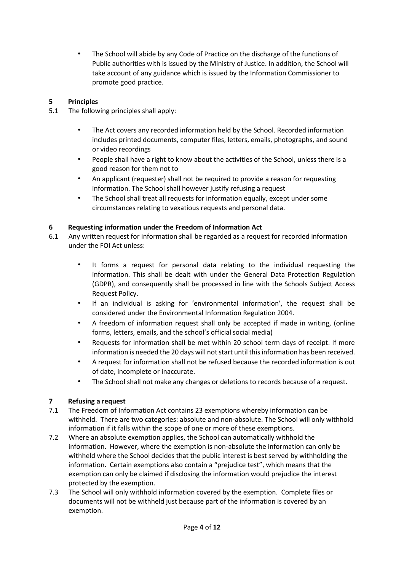• The School will abide by any Code of Practice on the discharge of the functions of Public authorities with is issued by the Ministry of Justice. In addition, the School will take account of any guidance which is issued by the Information Commissioner to promote good practice.

# **5 Principles**

- 5.1 The following principles shall apply:
	- The Act covers any recorded information held by the School. Recorded information includes printed documents, computer files, letters, emails, photographs, and sound or video recordings
	- People shall have a right to know about the activities of the School, unless there is a good reason for them not to
	- An applicant (requester) shall not be required to provide a reason for requesting information. The School shall however justify refusing a request
	- The School shall treat all requests for information equally, except under some circumstances relating to vexatious requests and personal data.

# **6 Requesting information under the Freedom of Information Act**

- 6.1 Any written request for information shall be regarded as a request for recorded information under the FOI Act unless:
	- It forms a request for personal data relating to the individual requesting the information. This shall be dealt with under the General Data Protection Regulation (GDPR), and consequently shall be processed in line with the Schools Subject Access Request Policy.
	- If an individual is asking for 'environmental information', the request shall be considered under the Environmental Information Regulation 2004.
	- A freedom of information request shall only be accepted if made in writing, (online forms, letters, emails, and the school's official social media)
	- Requests for information shall be met within 20 school term days of receipt. If more information is needed the 20 days will not start until this information has been received.
	- A request for information shall not be refused because the recorded information is out of date, incomplete or inaccurate.
	- The School shall not make any changes or deletions to records because of a request.

# **7 Refusing a request**

- 7.1 The Freedom of Information Act contains 23 exemptions whereby information can be withheld. There are two categories: absolute and non-absolute. The School will only withhold information if it falls within the scope of one or more of these exemptions.
- 7.2 Where an absolute exemption applies, the School can automatically withhold the information. However, where the exemption is non-absolute the information can only be withheld where the School decides that the public interest is best served by withholding the information. Certain exemptions also contain a "prejudice test", which means that the exemption can only be claimed if disclosing the information would prejudice the interest protected by the exemption.
- 7.3 The School will only withhold information covered by the exemption. Complete files or documents will not be withheld just because part of the information is covered by an exemption.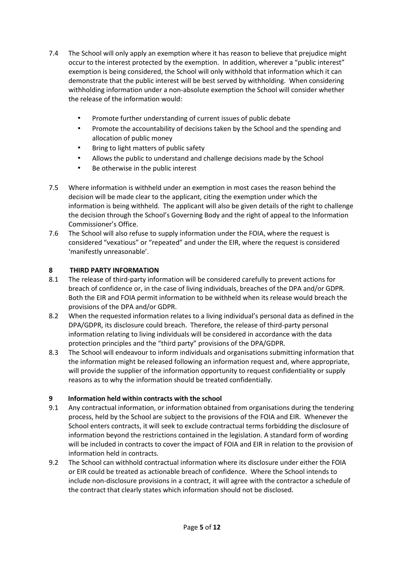- 7.4 The School will only apply an exemption where it has reason to believe that prejudice might occur to the interest protected by the exemption. In addition, wherever a "public interest" exemption is being considered, the School will only withhold that information which it can demonstrate that the public interest will be best served by withholding. When considering withholding information under a non-absolute exemption the School will consider whether the release of the information would:
	- Promote further understanding of current issues of public debate
	- Promote the accountability of decisions taken by the School and the spending and allocation of public money
	- Bring to light matters of public safety
	- Allows the public to understand and challenge decisions made by the School
	- Be otherwise in the public interest
- 7.5 Where information is withheld under an exemption in most cases the reason behind the decision will be made clear to the applicant, citing the exemption under which the information is being withheld. The applicant will also be given details of the right to challenge the decision through the School's Governing Body and the right of appeal to the Information Commissioner's Office.
- 7.6 The School will also refuse to supply information under the FOIA, where the request is considered "vexatious" or "repeated" and under the EIR, where the request is considered 'manifestly unreasonable'.

# **8 THIRD PARTY INFORMATION**

- 8.1 The release of third-party information will be considered carefully to prevent actions for breach of confidence or, in the case of living individuals, breaches of the DPA and/or GDPR. Both the EIR and FOIA permit information to be withheld when its release would breach the provisions of the DPA and/or GDPR.
- 8.2 When the requested information relates to a living individual's personal data as defined in the DPA/GDPR, its disclosure could breach. Therefore, the release of third-party personal information relating to living individuals will be considered in accordance with the data protection principles and the "third party" provisions of the DPA/GDPR.
- 8.3 The School will endeavour to inform individuals and organisations submitting information that the information might be released following an information request and, where appropriate, will provide the supplier of the information opportunity to request confidentiality or supply reasons as to why the information should be treated confidentially.

# **9 Information held within contracts with the school**

- 9.1 Any contractual information, or information obtained from organisations during the tendering process, held by the School are subject to the provisions of the FOIA and EIR. Whenever the School enters contracts, it will seek to exclude contractual terms forbidding the disclosure of information beyond the restrictions contained in the legislation. A standard form of wording will be included in contracts to cover the impact of FOIA and EIR in relation to the provision of information held in contracts.
- 9.2 The School can withhold contractual information where its disclosure under either the FOIA or EIR could be treated as actionable breach of confidence. Where the School intends to include non-disclosure provisions in a contract, it will agree with the contractor a schedule of the contract that clearly states which information should not be disclosed.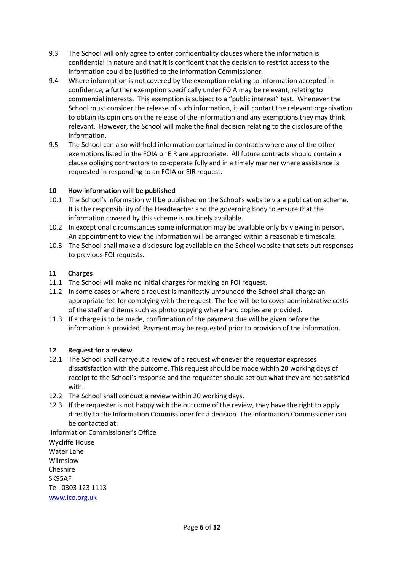- 9.3 The School will only agree to enter confidentiality clauses where the information is confidential in nature and that it is confident that the decision to restrict access to the information could be justified to the Information Commissioner.
- 9.4 Where information is not covered by the exemption relating to information accepted in confidence, a further exemption specifically under FOIA may be relevant, relating to commercial interests. This exemption is subject to a "public interest" test. Whenever the School must consider the release of such information, it will contact the relevant organisation to obtain its opinions on the release of the information and any exemptions they may think relevant. However, the School will make the final decision relating to the disclosure of the information.
- 9.5 The School can also withhold information contained in contracts where any of the other exemptions listed in the FOIA or EIR are appropriate. All future contracts should contain a clause obliging contractors to co-operate fully and in a timely manner where assistance is requested in responding to an FOIA or EIR request.

## **10 How information will be published**

- 10.1 The School's information will be published on the School's website via a publication scheme. It is the responsibility of the Headteacher and the governing body to ensure that the information covered by this scheme is routinely available.
- 10.2 In exceptional circumstances some information may be available only by viewing in person. An appointment to view the information will be arranged within a reasonable timescale.
- 10.3 The School shall make a disclosure log available on the School website that sets out responses to previous FOI requests.

## **11 Charges**

- 11.1 The School will make no initial charges for making an FOI request.
- 11.2 In some cases or where a request is manifestly unfounded the School shall charge an appropriate fee for complying with the request. The fee will be to cover administrative costs of the staff and items such as photo copying where hard copies are provided.
- 11.3 If a charge is to be made, confirmation of the payment due will be given before the information is provided. Payment may be requested prior to provision of the information.

#### **12 Request for a review**

- 12.1 The School shall carryout a review of a request whenever the requestor expresses dissatisfaction with the outcome. This request should be made within 20 working days of receipt to the School's response and the requester should set out what they are not satisfied with.
- 12.2 The School shall conduct a review within 20 working days.
- 12.3 If the requester is not happy with the outcome of the review, they have the right to apply directly to the Information Commissioner for a decision. The Information Commissioner can be contacted at:

Information Commissioner's Office

Wycliffe House Water Lane Wilmslow Cheshire SK95AF Tel: 0303 123 1113 [www.ico.org.uk](http://www.ico.org.uk/)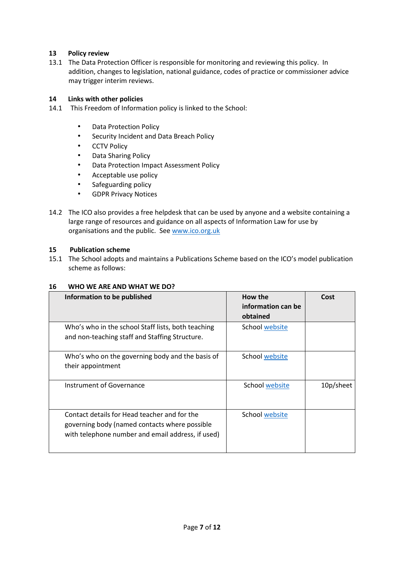## **13 Policy review**

13.1 The Data Protection Officer is responsible for monitoring and reviewing this policy. In addition, changes to legislation, national guidance, codes of practice or commissioner advice may trigger interim reviews.

## **14 Links with other policies**

- 14.1 This Freedom of Information policy is linked to the School:
	- Data Protection Policy
	- Security Incident and Data Breach Policy
	- CCTV Policy
	- Data Sharing Policy
	- Data Protection Impact Assessment Policy
	- Acceptable use policy
	- Safeguarding policy
	- GDPR Privacy Notices
- 14.2 The ICO also provides a free helpdesk that can be used by anyone and a website containing a large range of resources and guidance on all aspects of Information Law for use by organisations and the public. Se[e www.ico.org.uk](http://www.ico.org.uk/)

#### **15 Publication scheme**

15.1 The School adopts and maintains a Publications Scheme based on the ICO's model publication scheme as follows:

#### **16 WHO WE ARE AND WHAT WE DO?**

| Information to be published                                                                                                                        | How the<br>information can be<br>obtained | Cost      |
|----------------------------------------------------------------------------------------------------------------------------------------------------|-------------------------------------------|-----------|
| Who's who in the school Staff lists, both teaching<br>and non-teaching staff and Staffing Structure.                                               | School website                            |           |
| Who's who on the governing body and the basis of<br>their appointment                                                                              | School website                            |           |
| Instrument of Governance                                                                                                                           | School website                            | 10p/sheet |
| Contact details for Head teacher and for the<br>governing body (named contacts where possible<br>with telephone number and email address, if used) | School website                            |           |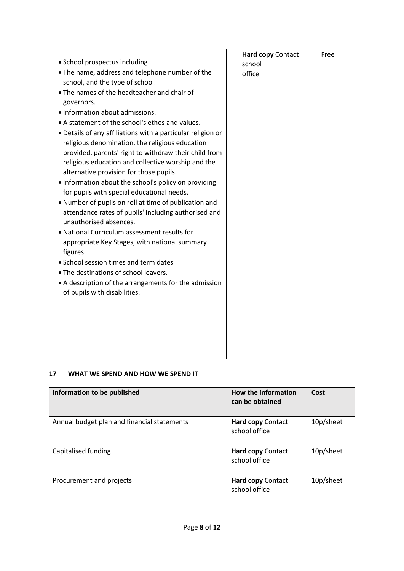| • School prospectus including<br>. The name, address and telephone number of the<br>school, and the type of school.<br>• The names of the headteacher and chair of<br>governors.<br>· Information about admissions.<br>• A statement of the school's ethos and values.<br>. Details of any affiliations with a particular religion or<br>religious denomination, the religious education<br>provided, parents' right to withdraw their child from<br>religious education and collective worship and the<br>alternative provision for those pupils.<br>• Information about the school's policy on providing<br>for pupils with special educational needs.<br>. Number of pupils on roll at time of publication and<br>attendance rates of pupils' including authorised and<br>unauthorised absences.<br>• National Curriculum assessment results for<br>appropriate Key Stages, with national summary<br>figures.<br>• School session times and term dates<br>• The destinations of school leavers.<br>• A description of the arrangements for the admission<br>of pupils with disabilities. | Hard copy Contact<br>school<br>office | Free |
|---------------------------------------------------------------------------------------------------------------------------------------------------------------------------------------------------------------------------------------------------------------------------------------------------------------------------------------------------------------------------------------------------------------------------------------------------------------------------------------------------------------------------------------------------------------------------------------------------------------------------------------------------------------------------------------------------------------------------------------------------------------------------------------------------------------------------------------------------------------------------------------------------------------------------------------------------------------------------------------------------------------------------------------------------------------------------------------------|---------------------------------------|------|
|                                                                                                                                                                                                                                                                                                                                                                                                                                                                                                                                                                                                                                                                                                                                                                                                                                                                                                                                                                                                                                                                                             |                                       |      |

## **17 WHAT WE SPEND AND HOW WE SPEND IT**

| Information to be published                 | <b>How the information</b><br>can be obtained | Cost      |
|---------------------------------------------|-----------------------------------------------|-----------|
| Annual budget plan and financial statements | <b>Hard copy Contact</b><br>school office     | 10p/sheet |
| Capitalised funding                         | <b>Hard copy Contact</b><br>school office     | 10p/sheet |
| Procurement and projects                    | <b>Hard copy Contact</b><br>school office     | 10p/sheet |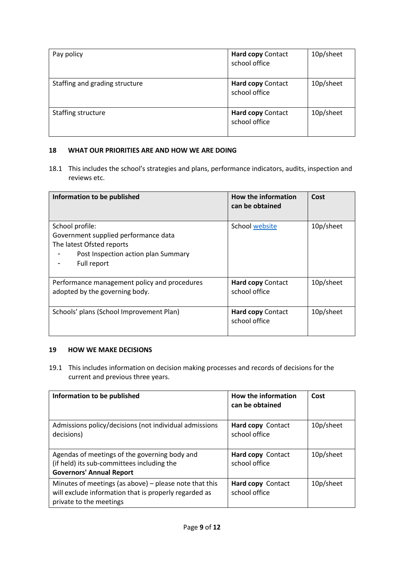| Pay policy                     | Hard copy Contact<br>school office | 10p/sheet |
|--------------------------------|------------------------------------|-----------|
| Staffing and grading structure | Hard copy Contact<br>school office | 10p/sheet |
| Staffing structure             | Hard copy Contact<br>school office | 10p/sheet |

## **18 WHAT OUR PRIORITIES ARE AND HOW WE ARE DOING**

18.1 This includes the school's strategies and plans, performance indicators, audits, inspection and reviews etc.

| Information to be published                                                                                                                | <b>How the information</b><br>can be obtained | Cost      |
|--------------------------------------------------------------------------------------------------------------------------------------------|-----------------------------------------------|-----------|
| School profile:<br>Government supplied performance data<br>The latest Ofsted reports<br>Post Inspection action plan Summary<br>Full report | School website                                | 10p/sheet |
| Performance management policy and procedures<br>adopted by the governing body.                                                             | <b>Hard copy Contact</b><br>school office     | 10p/sheet |
| Schools' plans (School Improvement Plan)                                                                                                   | <b>Hard copy Contact</b><br>school office     | 10p/sheet |

#### **19 HOW WE MAKE DECISIONS**

19.1 This includes information on decision making processes and records of decisions for the current and previous three years.

| Information to be published                                                                                                                | <b>How the information</b><br>can be obtained | Cost      |
|--------------------------------------------------------------------------------------------------------------------------------------------|-----------------------------------------------|-----------|
| Admissions policy/decisions (not individual admissions<br>decisions)                                                                       | Hard copy Contact<br>school office            | 10p/sheet |
| Agendas of meetings of the governing body and<br>(if held) its sub-committees including the<br><b>Governors' Annual Report</b>             | Hard copy Contact<br>school office            | 10p/sheet |
| Minutes of meetings (as above) - please note that this<br>will exclude information that is properly regarded as<br>private to the meetings | Hard copy Contact<br>school office            | 10p/sheet |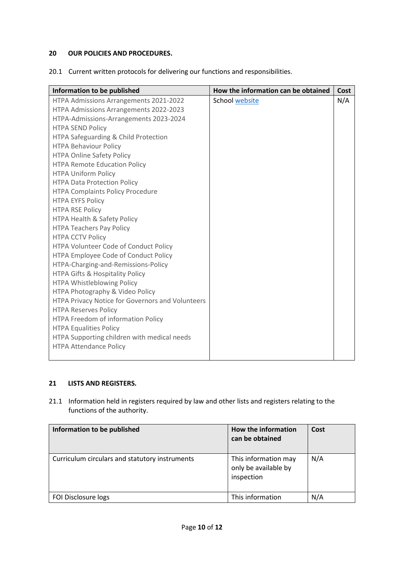## **20 OUR POLICIES AND PROCEDURES.**

20.1 Current written protocols for delivering our functions and responsibilities.

| Information to be published                      | How the information can be obtained | Cost |
|--------------------------------------------------|-------------------------------------|------|
| HTPA Admissions Arrangements 2021-2022           | School website                      | N/A  |
| HTPA Admissions Arrangements 2022-2023           |                                     |      |
| HTPA-Admissions-Arrangements 2023-2024           |                                     |      |
| <b>HTPA SEND Policy</b>                          |                                     |      |
| HTPA Safeguarding & Child Protection             |                                     |      |
| <b>HTPA Behaviour Policy</b>                     |                                     |      |
| <b>HTPA Online Safety Policy</b>                 |                                     |      |
| <b>HTPA Remote Education Policy</b>              |                                     |      |
| <b>HTPA Uniform Policy</b>                       |                                     |      |
| <b>HTPA Data Protection Policy</b>               |                                     |      |
| <b>HTPA Complaints Policy Procedure</b>          |                                     |      |
| <b>HTPA EYFS Policy</b>                          |                                     |      |
| <b>HTPA RSE Policy</b>                           |                                     |      |
| HTPA Health & Safety Policy                      |                                     |      |
| <b>HTPA Teachers Pay Policy</b>                  |                                     |      |
| <b>HTPA CCTV Policy</b>                          |                                     |      |
| HTPA Volunteer Code of Conduct Policy            |                                     |      |
| HTPA Employee Code of Conduct Policy             |                                     |      |
| HTPA-Charging-and-Remissions-Policy              |                                     |      |
| HTPA Gifts & Hospitality Policy                  |                                     |      |
| HTPA Whistleblowing Policy                       |                                     |      |
| HTPA Photography & Video Policy                  |                                     |      |
| HTPA Privacy Notice for Governors and Volunteers |                                     |      |
| <b>HTPA Reserves Policy</b>                      |                                     |      |
| HTPA Freedom of information Policy               |                                     |      |
| <b>HTPA Equalities Policy</b>                    |                                     |      |
| HTPA Supporting children with medical needs      |                                     |      |
| <b>HTPA Attendance Policy</b>                    |                                     |      |
|                                                  |                                     |      |

# **21 LISTS AND REGISTERS.**

21.1 Information held in registers required by law and other lists and registers relating to the functions of the authority.

| Information to be published                    | How the information<br>can be obtained                     | Cost |
|------------------------------------------------|------------------------------------------------------------|------|
| Curriculum circulars and statutory instruments | This information may<br>only be available by<br>inspection | N/A  |
| FOI Disclosure logs                            | This information                                           | N/A  |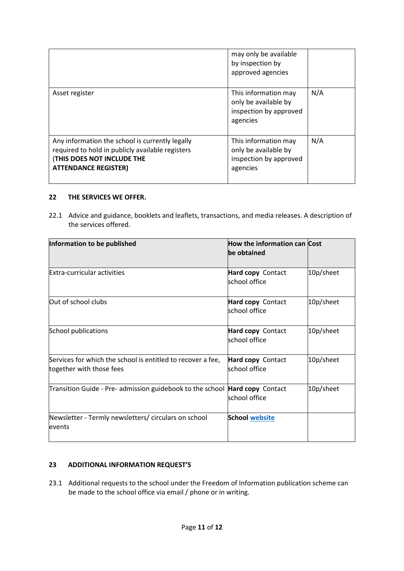|                                                                                                                                                                         | may only be available<br>by inspection by<br>approved agencies                     |     |
|-------------------------------------------------------------------------------------------------------------------------------------------------------------------------|------------------------------------------------------------------------------------|-----|
| Asset register                                                                                                                                                          | This information may<br>only be available by<br>inspection by approved<br>agencies | N/A |
| Any information the school is currently legally<br>required to hold in publicly available registers<br><b>(THIS DOES NOT INCLUDE THE</b><br><b>ATTENDANCE REGISTER)</b> | This information may<br>only be available by<br>inspection by approved<br>agencies | N/A |

#### **22 THE SERVICES WE OFFER.**

22.1 Advice and guidance, booklets and leaflets, transactions, and media releases. A description of the services offered.

| Information to be published                                                             | <b>How the information can Cost</b><br>be obtained |           |
|-----------------------------------------------------------------------------------------|----------------------------------------------------|-----------|
| Extra-curricular activities                                                             | Hard copy Contact<br>school office                 | 10p/sheet |
| Out of school clubs                                                                     | Hard copy Contact<br>school office                 | 10p/sheet |
| School publications                                                                     | Hard copy Contact<br>school office                 | 10p/sheet |
| Services for which the school is entitled to recover a fee,<br>together with those fees | Hard copy Contact<br>school office                 | 10p/sheet |
| Transition Guide - Pre- admission guidebook to the school                               | Hard copy Contact<br>school office                 | 10p/sheet |
| Newsletter - Termly newsletters/ circulars on school<br>events                          | <b>School website</b>                              |           |

# **23 ADDITIONAL INFORMATION REQUEST'S**

23.1 Additional requests to the school under the Freedom of Information publication scheme can be made to the school office via email / phone or in writing.